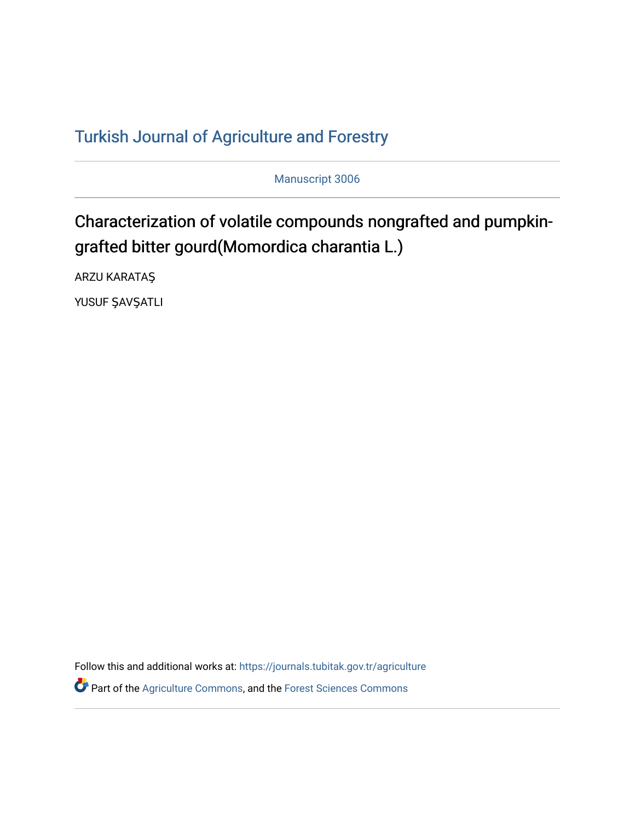# T[urkish Journal of Agriculture and F](https://journals.tubitak.gov.tr/agriculture)orestry

Manuscript 3006

# Characterization of volatile compounds nongrafted and pumpkingrafted bitter gourd(Momordica charantia L.)

ARZU KARATAŞ

YUSUF ŞAVŞATLI

Follow this and additional works at: [https://journals.tubitak.gov.tr/agriculture](https://journals.tubitak.gov.tr/agriculture?utm_source=journals.tubitak.gov.tr%2Fagriculture%2Fvol46%2Fiss3%2F6&utm_medium=PDF&utm_campaign=PDFCoverPages)

**P** Part of the [Agriculture Commons](https://network.bepress.com/hgg/discipline/1076?utm_source=journals.tubitak.gov.tr%2Fagriculture%2Fvol46%2Fiss3%2F6&utm_medium=PDF&utm_campaign=PDFCoverPages), and the Forest Sciences Commons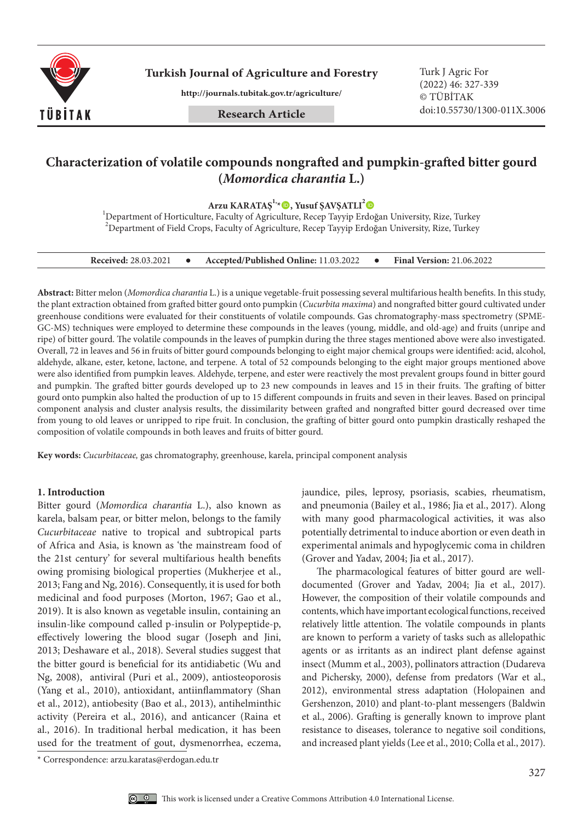

**Turkish Journal of Agriculture and Forestry Turk J Agric For** 

**http://journals.tubitak.gov.tr/agriculture/**

**Research Article**

(2022) 46: 327-339 © TÜBİTAK doi:10.55730/1300-011X.3006

### **Characterization of volatile compounds nongrafted and pumpkin-grafted bitter gourd (***Momordica charantia* **L.)**

**Arzu KARATAŞ1,\*, Yusuf ŞAVŞATLI2**

<sup>1</sup>Department of Horticulture, Faculty of Agriculture, Recep Tayyip Erdoğan University, Rize, Turkey  $^{2}$ Department of Field Crops, Faculty of Agriculture, Recep Tayyip Erdoğan University, Rize, Turkey

| <b>Received: 28.03.2021</b> |  | Accepted/Published Online: 11.03.2022 |  | <b>Final Version: 21.06.2022</b> |
|-----------------------------|--|---------------------------------------|--|----------------------------------|
|-----------------------------|--|---------------------------------------|--|----------------------------------|

**Abstract:** Bitter melon (*Momordica charantia* L.) is a unique vegetable-fruit possessing several multifarious health benefits. In this study, the plant extraction obtained from grafted bitter gourd onto pumpkin (*Cucurbita maxima*) and nongrafted bitter gourd cultivated under greenhouse conditions were evaluated for their constituents of volatile compounds. Gas chromatography-mass spectrometry (SPME-GC-MS) techniques were employed to determine these compounds in the leaves (young, middle, and old-age) and fruits (unripe and ripe) of bitter gourd. The volatile compounds in the leaves of pumpkin during the three stages mentioned above were also investigated. Overall, 72 in leaves and 56 in fruits of bitter gourd compounds belonging to eight major chemical groups were identified: acid, alcohol, aldehyde, alkane, ester, ketone, lactone, and terpene. A total of 52 compounds belonging to the eight major groups mentioned above were also identified from pumpkin leaves. Aldehyde, terpene, and ester were reactively the most prevalent groups found in bitter gourd and pumpkin. The grafted bitter gourds developed up to 23 new compounds in leaves and 15 in their fruits. The grafting of bitter gourd onto pumpkin also halted the production of up to 15 different compounds in fruits and seven in their leaves. Based on principal component analysis and cluster analysis results, the dissimilarity between grafted and nongrafted bitter gourd decreased over time from young to old leaves or unripped to ripe fruit. In conclusion, the grafting of bitter gourd onto pumpkin drastically reshaped the composition of volatile compounds in both leaves and fruits of bitter gourd.

**Key words:** *Cucurbitaceae,* gas chromatography, greenhouse, karela, principal component analysis

### **1. Introduction**

Bitter gourd (*Momordica charantia* L.), also known as karela, balsam pear, or bitter melon, belongs to the family *Cucurbitaceae* native to tropical and subtropical parts of Africa and Asia, is known as 'the mainstream food of the 21st century' for several multifarious health benefits owing promising biological properties (Mukherjee et al., 2013; Fang and Ng, 2016). Consequently, it is used for both medicinal and food purposes (Morton, 1967; Gao et al., 2019). It is also known as vegetable insulin, containing an insulin-like compound called p-insulin or Polypeptide-p, effectively lowering the blood sugar (Joseph and Jini, 2013; Deshaware et al., 2018). Several studies suggest that the bitter gourd is beneficial for its antidiabetic (Wu and Ng, 2008), antiviral (Puri et al., 2009), antiosteoporosis (Yang et al., 2010), antioxidant, antiinflammatory (Shan et al., 2012), antiobesity (Bao et al., 2013), antihelminthic activity (Pereira et al., 2016), and anticancer (Raina et al., 2016). In traditional herbal medication, it has been used for the treatment of gout, dysmenorrhea, eczema, jaundice, piles, leprosy, psoriasis, scabies, rheumatism, and pneumonia (Bailey et al., 1986; Jia et al., 2017). Along with many good pharmacological activities, it was also potentially detrimental to induce abortion or even death in experimental animals and hypoglycemic coma in children (Grover and Yadav, 2004; Jia et al., 2017).

The pharmacological features of bitter gourd are welldocumented (Grover and Yadav, 2004; Jia et al., 2017). However, the composition of their volatile compounds and contents, which have important ecological functions, received relatively little attention. The volatile compounds in plants are known to perform a variety of tasks such as allelopathic agents or as irritants as an indirect plant defense against insect (Mumm et al., 2003), pollinators attraction (Dudareva and Pichersky, 2000), defense from predators (War et al., 2012), environmental stress adaptation (Holopainen and Gershenzon, 2010) and plant-to-plant messengers (Baldwin et al., 2006). Grafting is generally known to improve plant resistance to diseases, tolerance to negative soil conditions, and increased plant yields (Lee et al., 2010; Colla et al., 2017).

<sup>\*</sup> Correspondence: arzu.karatas@erdogan.edu.tr

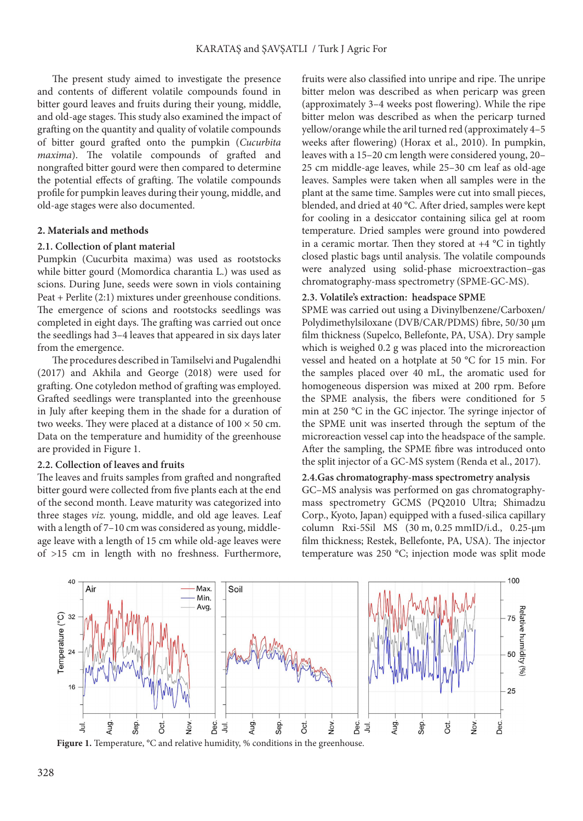The present study aimed to investigate the presence and contents of different volatile compounds found in bitter gourd leaves and fruits during their young, middle, and old-age stages. This study also examined the impact of grafting on the quantity and quality of volatile compounds of bitter gourd grafted onto the pumpkin (*Cucurbita maxima*). The volatile compounds of grafted and nongrafted bitter gourd were then compared to determine the potential effects of grafting. The volatile compounds profile for pumpkin leaves during their young, middle, and old-age stages were also documented.

### **2. Materials and methods**

### **2.1. Collection of plant material**

Pumpkin (Cucurbita maxima) was used as rootstocks while bitter gourd (Momordica charantia L.) was used as scions. During June, seeds were sown in viols containing Peat + Perlite (2:1) mixtures under greenhouse conditions. The emergence of scions and rootstocks seedlings was completed in eight days. The grafting was carried out once the seedlings had 3–4 leaves that appeared in six days later from the emergence.

The procedures described in Tamilselvi and Pugalendhi (2017) and Akhila and George (2018) were used for grafting. One cotyledon method of grafting was employed. Grafted seedlings were transplanted into the greenhouse in July after keeping them in the shade for a duration of two weeks. They were placed at a distance of  $100 \times 50$  cm. Data on the temperature and humidity of the greenhouse are provided in Figure 1.

### **2.2. Collection of leaves and fruits**

The leaves and fruits samples from grafted and nongrafted bitter gourd were collected from five plants each at the end of the second month. Leave maturity was categorized into three stages *viz.* young, middle, and old age leaves. Leaf with a length of 7–10 cm was considered as young, middleage leave with a length of 15 cm while old-age leaves were of >15 cm in length with no freshness. Furthermore,

fruits were also classified into unripe and ripe. The unripe bitter melon was described as when pericarp was green (approximately 3–4 weeks post flowering). While the ripe bitter melon was described as when the pericarp turned yellow/orange while the aril turned red (approximately 4–5 weeks after flowering) (Horax et al., 2010). In pumpkin, leaves with a 15–20 cm length were considered young, 20– 25 cm middle-age leaves, while 25–30 cm leaf as old-age leaves. Samples were taken when all samples were in the plant at the same time. Samples were cut into small pieces, blended, and dried at 40 °C. After dried, samples were kept for cooling in a desiccator containing silica gel at room temperature. Dried samples were ground into powdered in a ceramic mortar. Then they stored at  $+4$  °C in tightly closed plastic bags until analysis. The volatile compounds were analy*z*ed using solid-phase microextraction–gas chromatography*-*mass spectrometry (SPME-GC-MS).

#### **2.3. Volatile's extraction: headspace SPME**

SPME was carried out using a Divinylbenzene/Carboxen/ Polydimethylsiloxane (DVB/CAR/PDMS) fibre, 50/30 μm film thickness (Supelco, Bellefonte, PA, USA). Dry sample which is weighed 0.2 g was placed into the microreaction vessel and heated on a hotplate at 50 °C for 15 min. For the samples placed over 40 mL, the aromatic used for homogeneous dispersion was mixed at 200 rpm. Before the SPME analysis, the fibers were conditioned for 5 min at 250 °C in the GC injector. The syringe injector of the SPME unit was inserted through the septum of the microreaction vessel cap into the headspace of the sample. After the sampling, the SPME fibre was introduced onto the split injector of a GC-MS system (Renda et al., 2017).

#### **2.4.Gas chromatography-mass spectrometry analysis**

GC–MS analysis was performed on gas chromatographymass spectrometry GCMS (PQ2010 Ultra; Shimadzu Corp., Kyoto, Japan) equipped with a fused-silica capillary column Rxi-5Sil MS (30 m, 0.25 mmID/i.d., 0.25-µm film thickness; Restek, Bellefonte, PA, USA). The injector temperature was 250 °C; injection mode was split mode



Figure 1. Temperature, °C and relative humidity, % conditions in the greenhouse.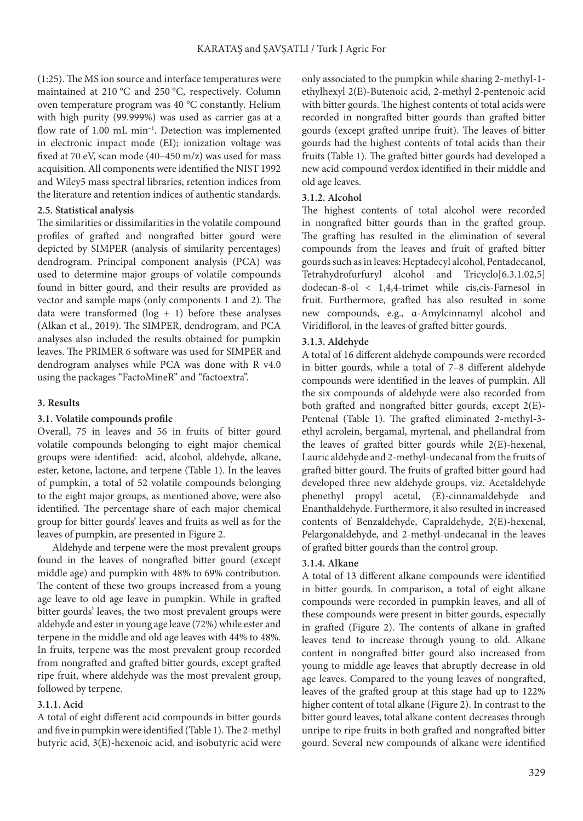(1:25). The MS [ion](https://www.sciencedirect.com/topics/medicine-and-dentistry/inorganic-ions) source and interface temperatures were maintained at 210 °C and 250 °C, respectively. Column oven temperature program was 40 °C constantly. Helium with high purity (99.999%) was used as carrier gas at a flow rate of 1.00 mL min<sup>-1</sup>. Detection was implemented in electronic impact mode (EI); ionization voltage was fixed at 70 eV, scan mode (40–450 m/z) was used for mass acquisition. All components were identified the NIST 1992 and Wiley5 mass spectral libraries, retention indices from the literature and retention indices of authentic standards.

### **2.5. Statistical analysis**

The similarities or dissimilarities in the volatile compound profiles of grafted and nongrafted bitter gourd were depicted by SIMPER (analysis of similarity percentages) dendrogram. Principal component analysis (PCA) was used to determine major groups of volatile compounds found in bitter gourd, and their results are provided as vector and sample maps (only components 1 and 2). The data were transformed  $(log + 1)$  before these analyses (Alkan et al., 2019). The SIMPER, dendrogram, and PCA analyses also included the results obtained for pumpkin leaves. The PRIMER 6 software was used for SIMPER and dendrogram analyses while PCA was done with R v4.0 using the packages "FactoMineR" and "factoextra".

### **3. Results**

### **3.1. Volatile compounds profile**

Overall, 75 in leaves and 56 in fruits of bitter gourd volatile compounds belonging to eight major chemical groups were identified: acid, alcohol, aldehyde, alkane, ester, ketone, lactone, and terpene (Table 1). In the leaves of pumpkin, a total of 52 volatile compounds belonging to the eight major groups, as mentioned above, were also identified. The percentage share of each major chemical group for bitter gourds' leaves and fruits as well as for the leaves of pumpkin, are presented in Figure 2.

Aldehyde and terpene were the most prevalent groups found in the leaves of nongrafted bitter gourd (except middle age) and pumpkin with 48% to 69% contribution. The content of these two groups increased from a young age leave to old age leave in pumpkin. While in grafted bitter gourds' leaves, the two most prevalent groups were aldehyde and ester in young age leave (72%) while ester and terpene in the middle and old age leaves with 44% to 48%. In fruits, terpene was the most prevalent group recorded from nongrafted and grafted bitter gourds, except grafted ripe fruit, where aldehyde was the most prevalent group, followed by terpene.

### **3.1.1. Acid**

A total of eight different acid compounds in bitter gourds and five in pumpkin were identified (Table 1). The 2-methyl butyric acid, 3(E)-hexenoic acid, and isobutyric acid were only associated to the pumpkin while sharing 2-methyl-1 ethylhexyl 2(E)-Butenoic acid, 2-methyl 2-pentenoic acid with bitter gourds. The highest contents of total acids were recorded in nongrafted bitter gourds than grafted bitter gourds (except grafted unripe fruit). The leaves of bitter gourds had the highest contents of total acids than their fruits (Table 1). The grafted bitter gourds had developed a new acid compound verdox identified in their middle and old age leaves.

### **3.1.2. Alcohol**

The highest contents of total alcohol were recorded in nongrafted bitter gourds than in the grafted group. The grafting has resulted in the elimination of several compounds from the leaves and fruit of grafted bitter gourds such as in leaves: Heptadecyl alcohol, Pentadecanol, Tetrahydrofurfuryl alcohol and Tricyclo[6.3.1.02,5] dodecan-8-ol < 1,4,4-trimet while cis,cis-Farnesol in fruit. Furthermore, grafted has also resulted in some new compounds, e.g., α-Amylcinnamyl alcohol and Viridiflorol, in the leaves of grafted bitter gourds.

### **3.1.3. Aldehyde**

A total of 16 different aldehyde compounds were recorded in bitter gourds, while a total of 7–8 different aldehyde compounds were identified in the leaves of pumpkin. All the six compounds of aldehyde were also recorded from both grafted and nongrafted bitter gourds, except 2(E)- Pentenal (Table 1). The grafted eliminated 2-methyl-3 ethyl acrolein, bergamal, myrtenal, and phellandral from the leaves of grafted bitter gourds while 2(E)-hexenal, Lauric aldehyde and 2-methyl-undecanal from the fruits of grafted bitter gourd. The fruits of grafted bitter gourd had developed three new aldehyde groups, viz. Acetaldehyde phenethyl propyl acetal, (E)-cinnamaldehyde and Enanthaldehyde. Furthermore, it also resulted in increased contents of Benzaldehyde, Capraldehyde, 2(E)-hexenal, Pelargonaldehyde, and 2-methyl-undecanal in the leaves of grafted bitter gourds than the control group.

### **3.1.4. Alkane**

A total of 13 different alkane compounds were identified in bitter gourds. In comparison, a total of eight alkane compounds were recorded in pumpkin leaves, and all of these compounds were present in bitter gourds, especially in grafted (Figure 2). The contents of alkane in grafted leaves tend to increase through young to old. Alkane content in nongrafted bitter gourd also increased from young to middle age leaves that abruptly decrease in old age leaves. Compared to the young leaves of nongrafted, leaves of the grafted group at this stage had up to 122% higher content of total alkane (Figure 2). In contrast to the bitter gourd leaves, total alkane content decreases through unripe to ripe fruits in both grafted and nongrafted bitter gourd. Several new compounds of alkane were identified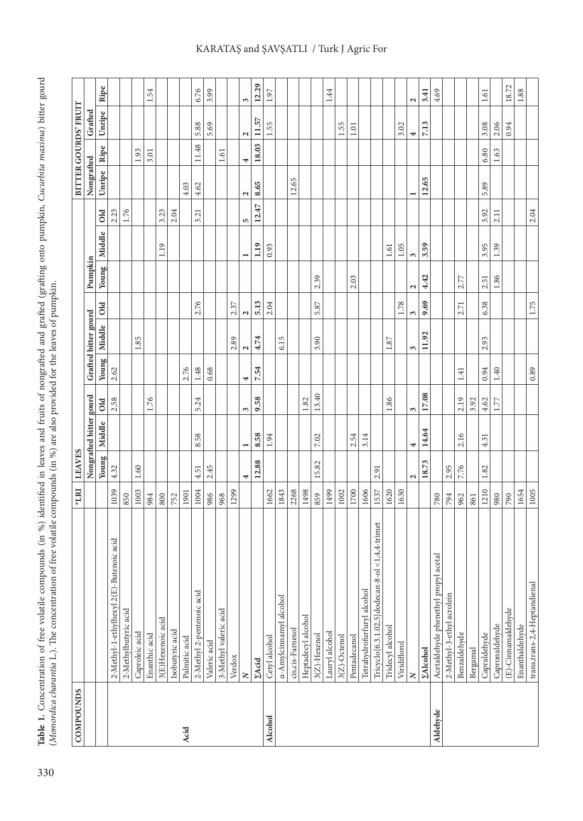Table 1. Concentration of free volatile compounds (in %) identified in leaves and fruits of nongrafted and grafted (grafting onto pumpkin, Cucurbita maxima) bitter gourd (Momordica charantia L.). The concentration of free 33 Table 1. Concentration of free volatile compounds (in %) identified in leaves and fruits of nongrafted and grafted (grafting onto pumpkin, Cucurbita maxima) bitter gourd (Momordica charantia L.). The concentration of fr

| COMPOUNDS |                                                    | *LRI | <b>LEAVES</b>     |                         |            |       |                      |                    |                   |                |                |                          |       | BITTER GOURDS' FRUIT   |                       |
|-----------|----------------------------------------------------|------|-------------------|-------------------------|------------|-------|----------------------|--------------------|-------------------|----------------|----------------|--------------------------|-------|------------------------|-----------------------|
|           |                                                    |      |                   | Nongrafted bitter gourd |            |       | Grafted bitter gourd |                    | Pumpkin           |                |                | Nongrafted               |       | Grafted                |                       |
|           |                                                    |      |                   | Young   Middle          | old        | Young | Middle               | <b>DIO</b>         |                   | Young   Middle | $\overline{O}$ | Unripe                   | Ripe  | Unripe                 | Ripe                  |
|           | 2-Methyl-1-ethylhexyl 2(E)-Butenoic acid           | 1039 | 4.32              |                         | 2.58       | 2.62  |                      |                    |                   |                | 2.23           |                          |       |                        |                       |
|           | 2-Methylbutyric acid                               | 850  |                   |                         |            |       |                      |                    |                   |                | 1.76           |                          |       |                        |                       |
|           | Caproleic acid                                     | 1003 | 1.60              |                         |            |       | 1.85                 |                    |                   |                |                |                          | 1.93  |                        |                       |
|           | Enanthic acid                                      | 984  |                   |                         | 1.76       |       |                      |                    |                   |                |                |                          | 3.01  |                        | 54                    |
|           | 3(E)Hexenoic acid                                  | 800  |                   |                         |            |       |                      |                    |                   | 1.19           | 3.23           |                          |       |                        |                       |
|           | Isobutyric acid                                    | 752  |                   |                         |            |       |                      |                    |                   |                | 2.04           |                          |       |                        |                       |
| Acid      | Palmitic acid                                      | 1901 |                   |                         |            | 2.76  |                      |                    |                   |                |                | 4.03                     |       |                        |                       |
|           | 2-Methyl 2-pentenoic acid                          | 1004 | 4.51              | 58<br>∞                 | 5.24       | 1.48  |                      | 2.76               |                   |                | 3.21           | 4.62                     | 11.48 | 5.88                   | 6.76                  |
|           | Valeric acid                                       | 986  | 2.45              |                         |            | 0.68  |                      |                    |                   |                |                |                          |       | 5.69                   | 3.99                  |
|           | 3-Methyl valeric acid                              | 968  |                   |                         |            |       |                      |                    |                   |                |                |                          | 1.61  |                        |                       |
|           | Verdox                                             | 1299 |                   |                         |            |       | 2.89                 | 2.37               |                   |                |                |                          |       |                        |                       |
|           | z                                                  |      | 4                 | −                       | ω          | 4     | 2                    | $\mathbf{\hat{z}}$ |                   |                | 5              | Z                        | 4     | $\mathbf{\mathcal{L}}$ | $\tilde{\phantom{0}}$ |
|           | <b>EAcid</b>                                       |      | 12.88             | 8.58                    | 9.58       | 7.54  | 4.74                 | 5.13               |                   | 1.19           | 12.47          | 8.65                     | 18.03 | 11.57                  | 12.29                 |
| Alcohol   | Cetyl alcohol                                      | 1662 |                   | 1.94                    |            |       |                      | 2.04               |                   | 0.93           |                |                          |       | 1.55                   | 1.97                  |
|           | a-Amylcinnamyl alcohol                             | 1843 |                   |                         |            |       | 6.15                 |                    |                   |                |                |                          |       |                        |                       |
|           | cis, cis-Farnesol                                  | 2268 |                   |                         |            |       |                      |                    |                   |                |                | 12.65                    |       |                        |                       |
|           | Heptadecyl alcohol                                 | 1498 |                   |                         | 1.82       |       |                      |                    |                   |                |                |                          |       |                        |                       |
|           | $3(Z)$ -Hexenol                                    | 859  | 15.82             | 7.02                    | 13.40      |       | 3.90                 | 5.87               | 2.39              |                |                |                          |       |                        |                       |
|           | Lauryl alcohol                                     | 1499 |                   |                         |            |       |                      |                    |                   |                |                |                          |       |                        | 1.44                  |
|           | $3(Z)$ -Octenol                                    | 1002 |                   |                         |            |       |                      |                    |                   |                |                |                          |       | 1.55                   |                       |
|           | Pentadecanol                                       | 1700 |                   | 2.54                    |            |       |                      |                    | 2.03              |                |                |                          |       | 1.01                   |                       |
|           | Tetrahydrofurfuryl alcohol                         | 1606 |                   | 3.14                    |            |       |                      |                    |                   |                |                |                          |       |                        |                       |
|           | trimet<br>Tricyclo[6.3.1.02,5]dodecan-8-ol <1,4,4- | 1537 | 2.91              |                         |            |       |                      |                    |                   |                |                |                          |       |                        |                       |
|           | Tridecyl alcohol                                   | 1620 |                   |                         | 1.86       |       | 1.87                 |                    |                   | 1.61           |                |                          |       |                        |                       |
|           | Viridiflorol                                       | 1630 |                   |                         |            |       |                      | 1.78               |                   | $1.05$         |                |                          |       | 3.02                   |                       |
|           | $\geq$                                             |      | $\mathbf{\Omega}$ | 4                       | $\epsilon$ |       | 3                    | 3                  | $\mathbf{\Omega}$ | $\epsilon$     |                | $\overline{\phantom{0}}$ |       | 4                      | $\mathbf{\hat{z}}$    |
|           | <b>ΣAlcohol</b>                                    |      | 18.73             | 14.64                   | 17.08      |       | 11.92                | 9.69               | 4.42              | 3.59           |                | 12.65                    |       | 7.13                   | 3.41                  |
| Aldehyde  | Acetaldehyde phenethyl propyl acetal               | 780  |                   |                         |            |       |                      |                    |                   |                |                |                          |       |                        | 4.69                  |
|           | 2-Methyl-3-ethyl acrolein                          | 794  | 2.95              |                         |            |       |                      |                    |                   |                |                |                          |       |                        |                       |
|           | Benzaldehyde                                       | 962  | 7.76              | 2.16                    | 2.19       | 1.41  |                      | 2.71               | 2.77              |                |                |                          |       |                        |                       |
|           | Bergamal                                           | 861  |                   |                         | 3.92       |       |                      |                    |                   |                |                |                          |       |                        |                       |
|           | Capraldehyde                                       | 1210 | 1.82              | 4.31                    | 4.62       | 0.94  | 2.93                 | 6.38               | 2.51              | 3.95           | 3.92           | 5.89                     | 6.80  | 3.08                   | 1.61                  |
|           | Capronaldehyde                                     | 980  |                   |                         | 1.77       | 1.40  |                      |                    | 1.86              | 1.39           | 2.11           |                          | 1.63  | 2.06                   |                       |
|           | (E)-Cinnamaldehyde                                 | 790  |                   |                         |            |       |                      |                    |                   |                |                |                          |       | 0.94                   | 18.72                 |
|           | Enanthaldehyde                                     | 1654 |                   |                         |            |       |                      |                    |                   |                |                |                          |       |                        | 1.88                  |
|           | trans, trans-2, 4-Heptandienal                     | 1005 |                   |                         |            | 0.89  |                      | 1.75               |                   |                | 2.04           |                          |       |                        |                       |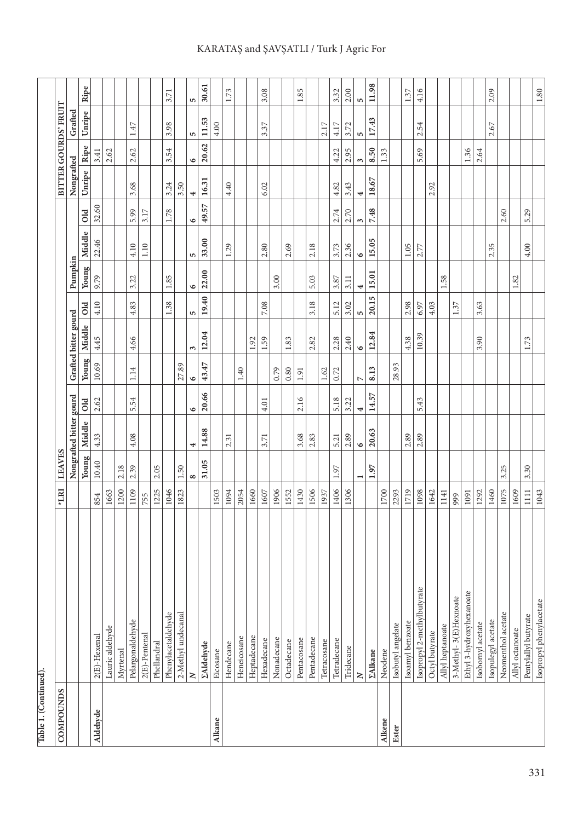| Table 1. (Continued). |                                |        |                |                         |           |                |                      |            |           |           |            |            |            |                      |          |
|-----------------------|--------------------------------|--------|----------------|-------------------------|-----------|----------------|----------------------|------------|-----------|-----------|------------|------------|------------|----------------------|----------|
| COMPOUNDS             |                                | $*LRI$ | <b>LEAVES</b>  |                         |           |                |                      |            |           |           |            |            |            | BITTER GOURDS' FRUIT |          |
|                       |                                |        |                | Nongrafted bitter gourd |           |                | Grafted bitter gourd |            | Pumpkin   |           |            | Nongrafted |            | Grafted              |          |
|                       |                                |        | Young          | Middle                  | Old       | Young          | Middle               | <b>DIO</b> | Young     | Middle    | Old        | Unripe     | Ripe       | Unripe               | Ripe     |
| Aldehyde              | $2(E)$ -Hexenal                | 854    | $10.40\,$      | 4.33                    | 2.62      | 10.69          | 4.45                 | 4.10       | 9.79      | 22.46     | 32.60      |            | 3.41       |                      |          |
|                       | Lauric aldehyde                | 1663   |                |                         |           |                |                      |            |           |           |            |            | 2.62       |                      |          |
|                       | Myrtenal                       | 1200   | 2.18           |                         |           |                |                      |            |           |           |            |            |            |                      |          |
|                       | Pelargonaldehyde               | 1109   | 2.39           | 4.08                    | 5.54      | 1.14           | 4.66                 | 4.83       | 3.22      | 4.10      | 5.99       | 3.68       | 2.62       | $1.47\,$             |          |
|                       | $2(E)$ -Pentenal               | 755    |                |                         |           |                |                      |            |           | 1.10      | 3.17       |            |            |                      |          |
|                       | Phellandral                    | 1225   | 2.05           |                         |           |                |                      |            |           |           |            |            |            |                      |          |
|                       | Phenylacetaldehyde             | 1046   |                |                         |           |                |                      | 1.38       | 1.85      |           | 1.78       | 3.24       | 54<br>2.   | 3.98                 | 3.71     |
|                       | 2-Methyl undecanal             | 1823   | 1.50           |                         |           | 27.89          |                      |            |           |           |            | 3.50       |            |                      |          |
|                       | $\geq$                         |        | 8              | 4                       | $\bullet$ | $\bullet$      | 3                    | S          | $\bullet$ | 5         | 6          | 4          | 6          | 5                    | 5        |
|                       | <b><i><u>ZAldehyde</u></i></b> |        | 31.05          | 14.88                   | 20.66     | 43.47          | 12.04                | 19.40      | 22.00     | 33.00     | 49.57      | 16.31      | 20.62      | 11.53                | 30.61    |
| Alkane                | Eicosane                       | 1503   |                |                         |           |                |                      |            |           |           |            |            |            | 4.00                 |          |
|                       | Hendecane                      | 1094   |                | 2.31                    |           |                |                      |            |           | 1.29      |            | 4.40       |            |                      | 1.73     |
|                       | Heneicosane                    | 2054   |                |                         |           | $1.40\,$       |                      |            |           |           |            |            |            |                      |          |
|                       | Heptadecane                    | 1660   |                |                         |           |                | 1.92                 |            |           |           |            |            |            |                      |          |
|                       | Hexadecane                     | 1607   |                | 3.71                    | 4.01      |                | 1.59                 | 7.08       |           | 2.80      |            | 6.02       |            | 3.37                 | 3.08     |
|                       | Nonadecane                     | 1906   |                |                         |           | 0.79           |                      |            | 3.00      |           |            |            |            |                      |          |
|                       | Octadecane                     | 1552   |                |                         |           | 0.80           | 1.83                 |            |           | 2.69      |            |            |            |                      |          |
|                       | Pentacosane                    | 1430   |                | 3.68                    | 2.16      | 1.91           |                      |            |           |           |            |            |            |                      | 1.85     |
|                       | Pentadecane                    | 1506   |                | 2.83                    |           |                | 2.82                 | 3.18       | 5.03      | 2.18      |            |            |            |                      |          |
|                       | Tetracosane                    | 1937   |                |                         |           | 1.62           |                      |            |           |           |            |            |            | 2.17                 |          |
|                       | Tetradecane                    | 1406   | 1.97           | 5.21                    | 5.18      | 0.72           | 2.28                 | 5.12       | 3.87      | 3.73      | 2.74       | 4.82       | 4.22       | 4.17                 | 3.32     |
|                       | Tridecane                      | 1306   |                | 2.89                    | 3.22      |                | 2.40                 | 3.02       | 3.11      | 2.36      | 2.70       | 3.43       | 2.95       | 3.72                 | $2.00\,$ |
|                       | $\geq$                         |        | $\blacksquare$ | $\bullet$               | 4         | $\overline{ }$ | $\circ$              | LΩ,        | 4         | $\bullet$ | $\epsilon$ | 4          | $\epsilon$ | In                   | LΩ,      |
|                       | <b>ZAlkane</b>                 |        | 1.97           | 20.63                   | 14.57     | 8.13           | 12.84                | 20.15      | 15.01     | 15.05     | 7.48       | 18.67      | 8.50       | 17.43                | 11.98    |
| Alkene                | Neodene                        | 1700   |                |                         |           |                |                      |            |           |           |            |            | 1.33       |                      |          |
| Ester                 | Isobutyl angelate              | 2293   |                |                         |           | 28.93          |                      |            |           |           |            |            |            |                      |          |
|                       | Isoamyl benzoate               | 1719   |                | 2.89                    |           |                | 4.38                 | 2.98       |           | 1.05      |            |            |            |                      | 1.37     |
|                       | Isopropyl 2-methylbutyrate     | 1098   |                | 2.89                    | 5.43      |                | 10.39                | 6.97       |           | 2.77      |            |            | 5.69       | 54<br>$\sim$         | 4.16     |
|                       | Octyl butyrate                 | 1642   |                |                         |           |                |                      | 4.03       |           |           |            | 2.92       |            |                      |          |
|                       | Allyl heptanoate               | 1141   |                |                         |           |                |                      |            | 1.58      |           |            |            |            |                      |          |
|                       | 3-Methyl- 3(E)Hexnoate         | 999    |                |                         |           |                |                      | 1.37       |           |           |            |            |            |                      |          |
|                       | Ethyl 3-hydroxyhexanoate       | 1091   |                |                         |           |                |                      |            |           |           |            |            | 1.36       |                      |          |
|                       | Isobornyl acetate              | 1292   |                |                         |           |                | 3.90                 | 3.63       |           |           |            |            | 2.64       |                      |          |
|                       | Isopulegyl acetate             | 1460   |                |                         |           |                |                      |            |           | 2.35      |            |            |            | 2.67                 | 2.09     |
|                       | Neomenthol acetate             | 1075   | 3.25           |                         |           |                |                      |            |           |           | 2.60       |            |            |                      |          |
|                       | Allyl octanoate                | 1609   |                |                         |           |                |                      |            | 1.82      |           |            |            |            |                      |          |
|                       | Pentylallyl butyrate           | $1111$ | 3.30           |                         |           |                | 1.73                 |            |           | $4.00$    | 5.29       |            |            |                      |          |
|                       | Isopropyl phenylacetate        | 1043   |                |                         |           |                |                      |            |           |           |            |            |            |                      | $1.80\,$ |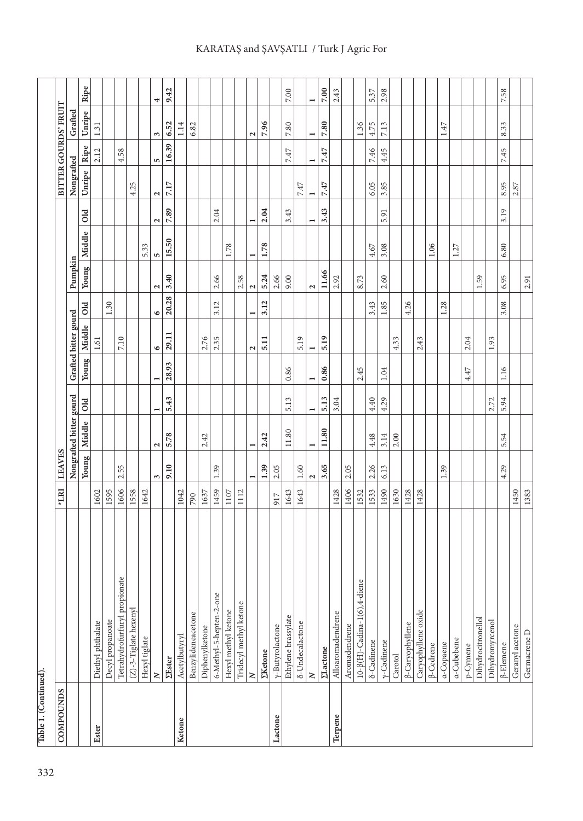| <b>COMPOUNDS</b> |                                    | $*$ LRI | <b>LEAVES</b>            |                          |                |                |                      |                          |                   |                |                      |                          |                          | BITTER GOURDS' FRUIT |               |
|------------------|------------------------------------|---------|--------------------------|--------------------------|----------------|----------------|----------------------|--------------------------|-------------------|----------------|----------------------|--------------------------|--------------------------|----------------------|---------------|
|                  |                                    |         |                          | Nongrafted bitter gourd  |                |                | Grafted bitter gourd |                          | Pumpkin           |                |                      | Nongrafted               |                          | Grafted              |               |
|                  |                                    |         | Young                    | Middle                   | old            | Young          | Middle               | O <sub>1</sub>           | Young             | Middle         | Old                  | Unripe                   | Ripe                     | Unripe               | Ripe          |
| Ester            | Diethyl phthalate                  | 1602    |                          |                          |                |                | 1.61                 |                          |                   |                |                      |                          | 2.12                     | 1.31                 |               |
|                  | Decyl propanoate                   | 1595    |                          |                          |                |                |                      | 1.30                     |                   |                |                      |                          |                          |                      |               |
|                  | Tetrahydrofurfuryl propionate      | 1606    | 2.55                     |                          |                |                | 7.10                 |                          |                   |                |                      |                          | 4.58                     |                      |               |
|                  | (Z)-3-Tiglate hexenyl              | 1558    |                          |                          |                |                |                      |                          |                   |                |                      | 4.25                     |                          |                      |               |
|                  | Hexyl tiglate                      | 1642    |                          |                          |                |                |                      |                          |                   | 5.33           |                      |                          |                          |                      |               |
|                  | $\mathbf{z}$                       |         | 3                        | $\mathbf{\Omega}$        | $\blacksquare$ | ⊣              | $\bullet$            | $\bullet$                | $\mathbf{C}$      | in,            | $\mathbf{\tilde{c}}$ | $\mathbf{\Omega}$        | in.                      | 3                    | 4             |
|                  | <b>ZEster</b>                      |         | 9.10                     | 5.78                     | 5.43           | 28.93          | 29.11                | 20.28                    | 3.40              | 15.50          | 7.89                 | $7.17$                   | 16.39                    | 6.52                 | 9.42          |
| Ketone           | Acetylbutyryl                      | 1042    |                          |                          |                |                |                      |                          |                   |                |                      |                          |                          | 1.14                 |               |
|                  | Benzylideneacetone                 | 790     |                          |                          |                |                |                      |                          |                   |                |                      |                          |                          | 6.82                 |               |
|                  | Diphenylketone                     | 1637    |                          | 2.42                     |                |                | 2.76                 |                          |                   |                |                      |                          |                          |                      |               |
|                  | 6-Methyl-5-hepten-2-one            | 1459    | 1.39                     |                          |                |                | 2.35                 | 3.12                     | 2.66              |                | 2.04                 |                          |                          |                      |               |
|                  | Hexyl methyl ketone                | 1107    |                          |                          |                |                |                      |                          |                   | 1.78           |                      |                          |                          |                      |               |
|                  | Tridecyl methyl ketone             | 1112    |                          |                          |                |                |                      |                          | 2.58              |                |                      |                          |                          |                      |               |
|                  | $\geq$                             |         | $\overline{\phantom{0}}$ | $\overline{\phantom{0}}$ |                |                | $\mathbf{\tilde{z}}$ | $\overline{\phantom{0}}$ | $\mathbf{\Omega}$ | $\overline{ }$ |                      |                          |                          | $\mathbf{\tilde{z}}$ |               |
|                  | <b><i><u>EKetone</u></i></b>       |         | 1.39                     | 2.42                     |                |                | 5.11                 | 3.12                     | 5.24              | 1.78           | 2.04                 |                          |                          | 7.96                 |               |
| Lactone          | y-Butyrolactone                    | 917     | 2.05                     |                          |                |                |                      |                          | 2.66              |                |                      |                          |                          |                      |               |
|                  | Ethylene brassylate                | 1643    |                          | $11.80\,$                | 5.13           | 0.86           |                      |                          | 9.00              |                | 3.43                 |                          | 7.47                     | $7.80\,$             | $7.00\,$      |
|                  | $\delta$ -Undecalactone            | 1643    | $1.60\,$                 |                          |                |                | 5.19                 |                          |                   |                |                      | 7.47                     |                          |                      |               |
|                  | $\geq$                             |         | $\mathbf{\Omega}$        | $\overline{\phantom{0}}$ | $\overline{ }$ | $\blacksquare$ | $\blacksquare$       |                          | $\mathbf{\Omega}$ |                | $\blacksquare$       | $\overline{\phantom{0}}$ | $\overline{\phantom{0}}$ | $\blacksquare$       | $\rightarrow$ |
|                  | <b><i><u>ELactone</u></i></b>      |         | 3.65                     | 11.80                    | 5.13           | 0.86           | 5.19                 |                          | 11.66             |                | 3.43                 | 7.47                     | 7.47                     | 7.80                 | 7.00          |
| Terpene          | Alloaromadendrene                  | 1428    |                          |                          | 3.04           |                |                      |                          | 2.92              |                |                      |                          |                          |                      | 2.43          |
|                  | Aromadendrene                      | 1406    | 2.05                     |                          |                |                |                      |                          |                   |                |                      |                          |                          |                      |               |
|                  | $10-\beta(H)$ -Cadina-1(6),4-diene | 1532    |                          |                          |                | 2.45           |                      |                          | 8.73              |                |                      |                          |                          | 1.36                 |               |
|                  | <b>δ-Cadinene</b>                  | 1533    | 2.26                     | 4.48                     | 4.40           |                |                      | 3.43                     |                   | 4.67           |                      | 6.05                     | 7.46                     | 4.75                 | 5.37          |
|                  | y-Cadinene                         | 1490    | 6.13                     | 3.14                     | 4.29           | 1.04           |                      | 1.85                     | 2.60              | 3.08           | 5.91                 | 3.85                     | 4.45                     | 7.13                 | 2.98          |
|                  | Carotol                            | 1630    |                          | 2.00                     |                |                | 4.33                 |                          |                   |                |                      |                          |                          |                      |               |
|                  | β-Caryophyllene                    | 1428    |                          |                          |                |                |                      | 4.26                     |                   |                |                      |                          |                          |                      |               |
|                  | Caryophyllene oxide                | 1428    |                          |                          |                |                | 2.43                 |                          |                   |                |                      |                          |                          |                      |               |
|                  | β-Cedrene                          |         |                          |                          |                |                |                      |                          |                   | 1.06           |                      |                          |                          |                      |               |
|                  | a-Copaene                          |         | 1.39                     |                          |                |                |                      | 1.28                     |                   |                |                      |                          |                          | 1.47                 |               |
|                  | a-Cubebene                         |         |                          |                          |                |                |                      |                          |                   | 1.27           |                      |                          |                          |                      |               |
|                  | p-Cymene                           |         |                          |                          |                | 4.47           | 2.04                 |                          |                   |                |                      |                          |                          |                      |               |
|                  | Dihydrocitronellol                 |         |                          |                          |                |                |                      |                          | 1.59              |                |                      |                          |                          |                      |               |
|                  | Dihydromyrcenol                    |         |                          |                          | 2.72           |                | 1.93                 |                          |                   |                |                      |                          |                          |                      |               |
|                  | β-Elemene                          |         | 4.29                     | 5.54                     | 5.94           | 1.16           |                      | 3.08                     | 6.95              | 6.80           | 3.19                 | 8.95                     | 7.45                     | 8.33                 | 7.58          |
|                  | Geranyl acetone                    | 1450    |                          |                          |                |                |                      |                          |                   |                |                      | 2.87                     |                          |                      |               |
|                  | Germacrene D                       | 1383    |                          |                          |                |                |                      |                          | 2.91              |                |                      |                          |                          |                      |               |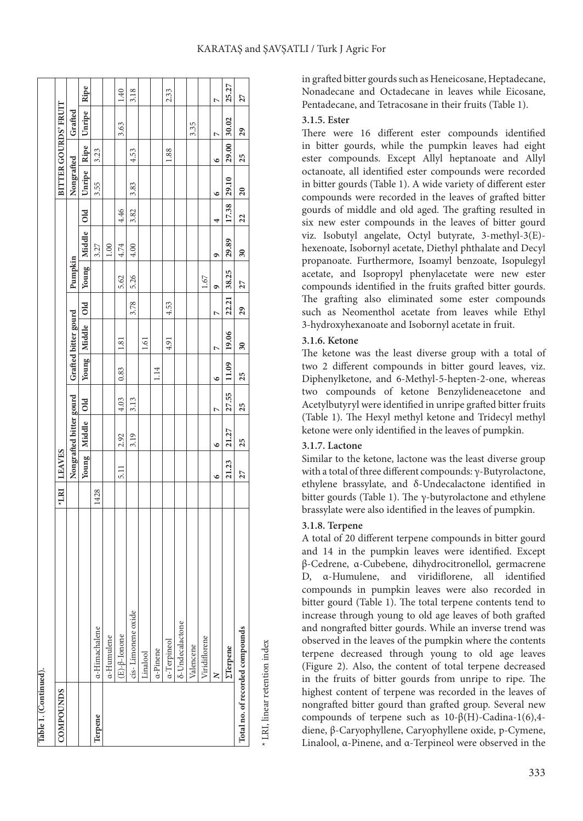|  |  | KARATAŞ and ŞAVŞATLI / Turk J Agric For |
|--|--|-----------------------------------------|
|--|--|-----------------------------------------|

| COMPOUNDS |                                 | $*LRI$ | <b>LEAVES</b>      |                         |       |       |                          |                |         |                      |                 |             |       | BITTER GOURDS' FRUIT |       |
|-----------|---------------------------------|--------|--------------------|-------------------------|-------|-------|--------------------------|----------------|---------|----------------------|-----------------|-------------|-------|----------------------|-------|
|           |                                 |        |                    | Nongrafted bitter gourd |       |       | Grafted bitter gourd     |                | Pumpkin |                      |                 | Nongrafted  |       | Grafted              |       |
|           |                                 |        | Young <sup>1</sup> | Middle Old              |       |       | Young   Middle           | old            |         | Young   Middle   Old |                 | Unripe Ripe |       | Unripe               | Ripe  |
| lerpene   | a-Himachalene                   | 1428   |                    |                         |       |       |                          |                |         | 3.27                 |                 | 3.55        | 3.23  |                      |       |
|           | a-Humulene                      |        |                    |                         |       |       |                          |                |         | 1.00                 |                 |             |       |                      |       |
|           | $(E)-\beta$ -Ionone             |        | 5.11               | 2.92                    | 4.03  | 0.83  | 1.81                     |                | 5.62    | 4.74                 | 4.46            |             |       | 3.63                 | 1.40  |
|           | cis-Limonene oxide              |        |                    | 3.19                    | 3.13  |       |                          | 3.78           | 5.26    | 4.00                 | 3.82            | 3.83        | 4.53  |                      | 3.18  |
|           | Linalool                        |        |                    |                         |       |       | 1.61                     |                |         |                      |                 |             |       |                      |       |
|           | a-Pinene                        |        |                    |                         |       | 1.14  |                          |                |         |                      |                 |             |       |                      |       |
|           | a-Terpineol                     |        |                    |                         |       |       | 4.91                     | 4.53           |         |                      |                 |             | 1.88  |                      | 2.33  |
|           | <b>δ-Undecalactone</b>          |        |                    |                         |       |       |                          |                |         |                      |                 |             |       |                      |       |
|           | Valencene                       |        |                    |                         |       |       |                          |                |         |                      |                 |             |       | 3.35                 |       |
|           | Viridiflorene                   |        |                    |                         |       |       |                          |                | 1.67    |                      |                 |             |       |                      |       |
|           | $\geq$                          |        | ৽                  | ৩                       | Ņ     | G     | r                        | $\overline{ }$ | ٩       | ۰                    | 4               | ৩           | ৩     | Ņ                    | Ľ     |
|           | <b><i><u>ETerpene</u></i></b>   |        | 21.23              | 21.27                   | 27.55 | 11.09 | 19.06                    | 22.21          | 38.25   | 29.89                | 17.38           | 29.10       | 29.00 | 30.02                | 25.27 |
|           | Total no. of recorded compounds |        | 27                 | 25                      | 25    | 25    | $\overline{\mathbf{30}}$ | 29             | 27      | 30                   | $\overline{22}$ | 20          | 25    | 29                   | 27    |
|           |                                 |        |                    |                         |       |       |                          |                |         |                      |                 |             |       |                      |       |

LRI, linear retention index \* LRI, linear retention index in grafted bitter gourds such as Heneicosane, Heptadecane, Nonadecane and Octadecane in leaves while Eicosane, Pentadecane, and Tetracosane in their fruits (Table 1).

### **3.1.5. Ester**

There were 16 different ester compounds identified in bitter gourds, while the pumpkin leaves had eight ester compounds. Except Allyl heptanoate and Allyl octanoate, all identified ester compounds were recorded in bitter gourds (Table 1). A wide variety of different ester compounds were recorded in the leaves of grafted bitter gourds of middle and old aged. The grafting resulted in six new ester compounds in the leaves of bitter gourd viz. Isobutyl angelate, Octyl butyrate, 3-methyl-3(E) hexenoate, Isobornyl acetate, Diethyl phthalate and Decyl propanoate. Furthermore, Isoamyl benzoate, Isopulegyl acetate, and Isopropyl phenylacetate were new ester compounds identified in the fruits grafted bitter gourds. The grafting also eliminated some ester compounds such as Neomenthol acetate from leaves while Ethyl 3-hydroxyhexanoate and Isobornyl acetate in fruit.

### **3.1.6. Ketone**

The ketone was the least diverse group with a total of two 2 different compounds in bitter gourd leaves, viz. Diphenylketone, and 6-Methyl-5-hepten-2-one, whereas two compounds of ketone Benzylideneacetone and Acetylbutyryl were identified in unripe grafted bitter fruits (Table 1). The Hexyl methyl ketone and Tridecyl methyl ketone were only identified in the leaves of pumpkin.

### **3.1.7. Lactone**

Similar to the ketone, lactone was the least diverse group with a total of three different compounds: γ-Butyrolactone, ethylene brassylate, and δ-Undecalactone identified in bitter gourds (Table 1). The γ-butyrolactone and ethylene brassylate were also identified in the leaves of pumpkin.

### **3.1.8. Terpene**

A total of 20 different terpene compounds in bitter gourd and 14 in the pumpkin leaves were identified. Except β-Cedrene, α-Cubebene, dihydrocitronellol, germacrene D, α-Humulene, and viridiflorene, all identified compounds in pumpkin leaves were also recorded in bitter gourd (Table 1). The total terpene contents tend to increase through young to old age leaves of both grafted and nongrafted bitter gourds. While an inverse trend was observed in the leaves of the pumpkin where the contents terpene decreased through young to old age leaves (Figure 2). Also, the content of total terpene decreased in the fruits of bitter gourds from unripe to ripe. The highest content of terpene was recorded in the leaves of nongrafted bitter gourd than grafted group. Several new compounds of terpene such as 10-β(H)-Cadina-1(6),4 diene, β-Caryophyllene, Caryophyllene oxide, p-Cymene, Linalool, α-Pinene, and α-Terpineol were observed in the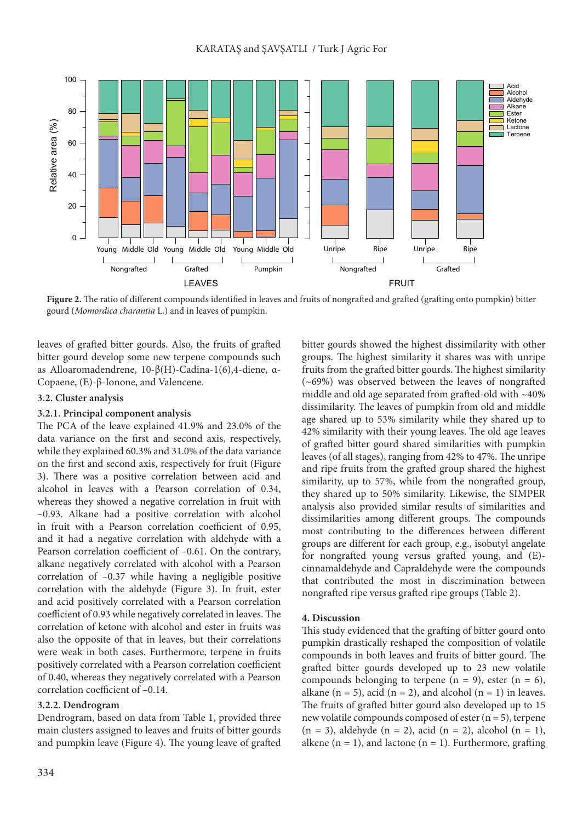

**Figure 2.** The ratio of different compounds identified in leaves and fruits of nongrafted and grafted (grafting onto pumpkin) bitter

leaves of grafted bitter gourds. Also, the fruits of grafted bitter gourd develop some new terpene compounds such as Alloaromadendrene, 10-β(H)-Cadina-1(6),4-diene, α-Copaene, (E)-β-Ionone, and Valencene.

### **3.2. Cluster analysis**

### **3.2.1. Principal component analysis**

The PCA of the leave explained 41.9% and 23.0% of the data variance on the first and second axis, respectively, while they explained 60.3% and 31.0% of the data variance on the first and second axis, respectively for fruit (Figure 3). There was a positive correlation between acid and alcohol in leaves with a Pearson correlation of 0.34, whereas they showed a negative correlation in fruit with –0.93. Alkane had a positive correlation with alcohol in fruit with a Pearson correlation coefficient of 0.95, and it had a negative correlation with aldehyde with a Pearson correlation coefficient of –0.61. On the contrary, alkane negatively correlated with alcohol with a Pearson correlation of –0.37 while having a negligible positive correlation with the aldehyde (Figure 3). In fruit, ester and acid positively correlated with a Pearson correlation coefficient of 0.93 while negatively correlated in leaves. The correlation of ketone with alcohol and ester in fruits was also the opposite of that in leaves, but their correlations were weak in both cases. Furthermore, terpene in fruits positively correlated with a Pearson correlation coefficient of 0.40, whereas they negatively correlated with a Pearson correlation coefficient of –0.14.

### **3.2.2. Dendrogram**

Dendrogram, based on data from Table 1, provided three main clusters assigned to leaves and fruits of bitter gourds and pumpkin leave (Figure 4). The young leave of grafted bitter gourds showed the highest dissimilarity with other groups. The highest similarity it shares was with unripe fruits from the grafted bitter gourds. The highest similarity (~69%) was observed between the leaves of nongrafted middle and old age separated from grafted-old with ~40% dissimilarity. The leaves of pumpkin from old and middle age shared up to 53% similarity while they shared up to 42% similarity with their young leaves. The old age leaves of grafted bitter gourd shared similarities with pumpkin leaves (of all stages), ranging from 42% to 47%. The unripe and ripe fruits from the grafted group shared the highest similarity, up to 57%, while from the nongrafted group, they shared up to 50% similarity. Likewise, the SIMPER analysis also provided similar results of similarities and dissimilarities among different groups. The compounds most contributing to the differences between different groups are different for each group, e.g., isobutyl angelate for nongrafted young versus grafted young, and (E) cinnamaldehyde and Capraldehyde were the compounds that contributed the most in discrimination between nongrafted ripe versus grafted ripe groups (Table 2).

### **4. Discussion**

This study evidenced that the grafting of bitter gourd onto pumpkin drastically reshaped the composition of volatile compounds in both leaves and fruits of bitter gourd. The grafted bitter gourds developed up to 23 new volatile compounds belonging to terpene  $(n = 9)$ , ester  $(n = 6)$ , alkane (n = 5), acid (n = 2), and alcohol (n = 1) in leaves. The fruits of grafted bitter gourd also developed up to 15 new volatile compounds composed of ester (n = 5), terpene  $(n = 3)$ , aldehyde  $(n = 2)$ , acid  $(n = 2)$ , alcohol  $(n = 1)$ , alkene  $(n = 1)$ , and lactone  $(n = 1)$ . Furthermore, grafting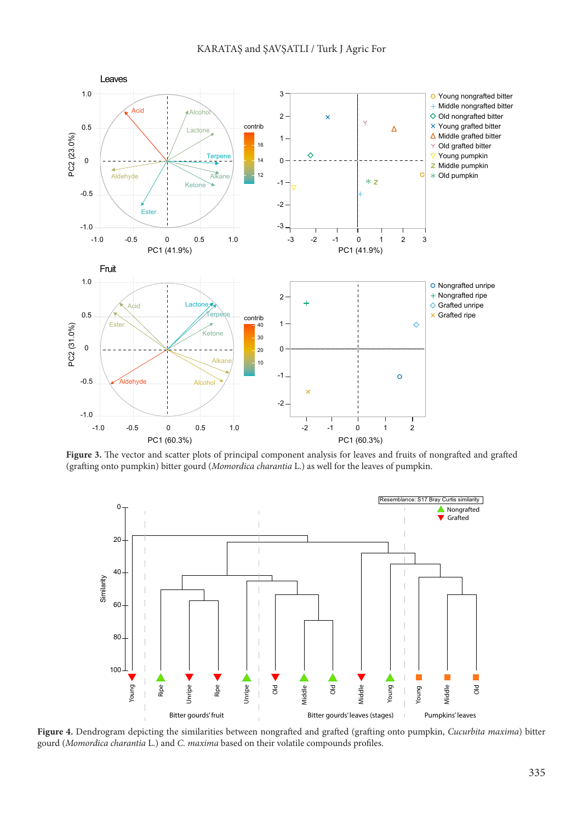

**Figure 3.** The vector and scatter plots of principal component analysis for leaves and fruits of nongrafted and grafted (grafting onto pumpkin) bitter gourd (*Momordica charantia* L.) as well for the leaves of pumpkin.



**Figure 4.** Dendrogram depicting the similarities between nongrafted and grafted (grafting onto pumpkin, *Cucurbita maxima*) bitter gourd (*Momordica charantia* L.) and *C. maxima* based on their volatile compounds profiles.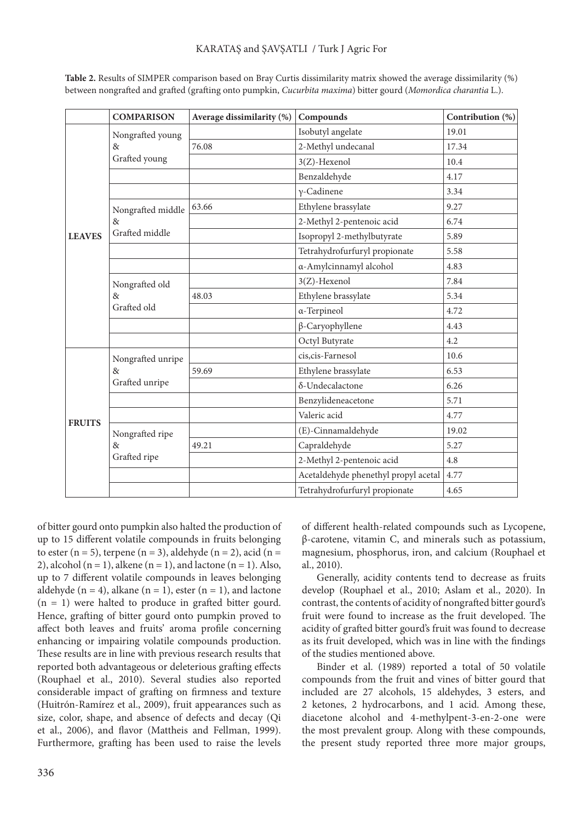|               | <b>COMPARISON</b> | Average dissimilarity (%) | Compounds                            | Contribution (%) |
|---------------|-------------------|---------------------------|--------------------------------------|------------------|
|               | Nongrafted young  |                           | Isobutyl angelate                    | 19.01            |
|               | $\&$              | 76.08                     | 2-Methyl undecanal                   | 17.34            |
|               | Grafted young     |                           | 3(Z)-Hexenol                         | 10.4             |
|               |                   |                           | Benzaldehyde                         | 4.17             |
|               |                   |                           | $v$ -Cadinene                        | 3.34             |
|               | Nongrafted middle | 63.66                     | Ethylene brassylate                  | 9.27             |
|               | 8 <sub>x</sub>    |                           | 2-Methyl 2-pentenoic acid            | 6.74             |
| <b>LEAVES</b> | Grafted middle    |                           | Isopropyl 2-methylbutyrate           | 5.89             |
|               |                   |                           | Tetrahydrofurfuryl propionate        | 5.58             |
|               |                   |                           | a-Amylcinnamyl alcohol               | 4.83             |
|               | Nongrafted old    |                           | 3(Z)-Hexenol                         | 7.84             |
|               | 8 <sub>x</sub>    | 48.03                     | Ethylene brassylate                  | 5.34             |
|               | Grafted old       |                           | α-Terpineol                          | 4.72             |
|               |                   |                           | $\beta$ -Caryophyllene               | 4.43             |
|               |                   |                           | Octyl Butyrate                       | 4.2              |
|               | Nongrafted unripe |                           | cis, cis-Farnesol                    | 10.6             |
|               | 8 <sub>x</sub>    | 59.69                     | Ethylene brassylate                  | 6.53             |
|               | Grafted unripe    |                           | δ-Undecalactone                      | 6.26             |
|               |                   |                           | Benzylideneacetone                   | 5.71             |
| <b>FRUITS</b> |                   |                           | Valeric acid                         | 4.77             |
|               | Nongrafted ripe   |                           | (E)-Cinnamaldehyde                   | 19.02            |
|               | 8 <sub>x</sub>    | 49.21                     | Capraldehyde                         | 5.27             |
|               | Grafted ripe      |                           | 2-Methyl 2-pentenoic acid            | 4.8              |
|               |                   |                           | Acetaldehyde phenethyl propyl acetal | 4.77             |
|               |                   |                           | Tetrahydrofurfuryl propionate        | 4.65             |

**Table 2.** Results of SIMPER comparison based on Bray Curtis dissimilarity matrix showed the average dissimilarity (%) between nongrafted and grafted (grafting onto pumpkin, *Cucurbita maxima*) bitter gourd (*Momordica charantia* L.).

of bitter gourd onto pumpkin also halted the production of up to 15 different volatile compounds in fruits belonging to ester (n = 5), terpene (n = 3), aldehyde (n = 2), acid (n = 2), alcohol ( $n = 1$ ), alkene ( $n = 1$ ), and lactone ( $n = 1$ ). Also, up to 7 different volatile compounds in leaves belonging aldehyde ( $n = 4$ ), alkane ( $n = 1$ ), ester ( $n = 1$ ), and lactone  $(n = 1)$  were halted to produce in grafted bitter gourd. Hence, grafting of bitter gourd onto pumpkin proved to affect both leaves and fruits' aroma profile concerning enhancing or impairing volatile compounds production. These results are in line with previous research results that reported both advantageous or deleterious grafting effects (Rouphael et al., 2010). Several studies also reported considerable impact of grafting on firmness and texture (Huitrón-Ramírez et al., 2009), fruit appearances such as size, color, shape, and absence of defects and decay (Qi et al., 2006), and flavor (Mattheis and Fellman, 1999). Furthermore, grafting has been used to raise the levels

of different health-related compounds such as Lycopene, β-carotene, vitamin C, and minerals such as potassium, magnesium, phosphorus, iron, and calcium (Rouphael et al., 2010).

Generally, acidity contents tend to decrease as fruits develop (Rouphael et al., 2010; Aslam et al., 2020). In contrast, the contents of acidity of nongrafted bitter gourd's fruit were found to increase as the fruit developed. The acidity of grafted bitter gourd's fruit was found to decrease as its fruit developed, which was in line with the findings of the studies mentioned above.

Binder et al. (1989) reported a total of 50 volatile compounds from the fruit and vines of bitter gourd that included are 27 alcohols, 15 aldehydes, 3 esters, and 2 ketones, 2 hydrocarbons, and 1 acid. Among these, diacetone alcohol and 4-methylpent-3-en-2-one were the most prevalent group. Along with these compounds, the present study reported three more major groups,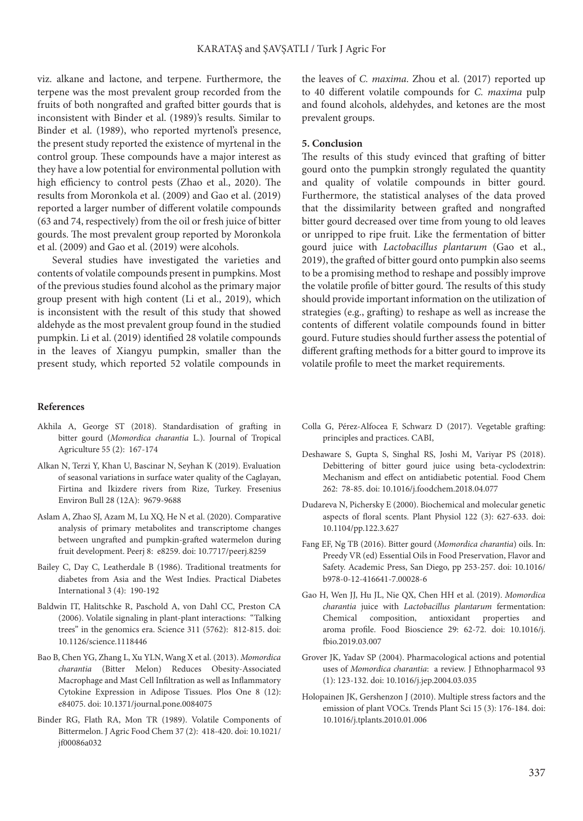viz. alkane and lactone, and terpene. Furthermore, the terpene was the most prevalent group recorded from the fruits of both nongrafted and grafted bitter gourds that is inconsistent with Binder et al. (1989)'s results. Similar to Binder et al. (1989), who reported myrtenol's presence, the present study reported the existence of myrtenal in the control group. These compounds have a major interest as they have a low potential for environmental pollution with high efficiency to control pests (Zhao et al., 2020). The results from Moronkola et al. (2009) and Gao et al. (2019) reported a larger number of different volatile compounds (63 and 74, respectively) from the oil or fresh juice of bitter gourds. The most prevalent group reported by Moronkola et al. (2009) and Gao et al. (2019) were alcohols.

Several studies have investigated the varieties and contents of volatile compounds present in pumpkins. Most of the previous studies found alcohol as the primary major group present with high content (Li et al., 2019), which is inconsistent with the result of this study that showed aldehyde as the most prevalent group found in the studied pumpkin. Li et al. (2019) identified 28 volatile compounds in the leaves of Xiangyu pumpkin, smaller than the present study, which reported 52 volatile compounds in

the leaves of *C. maxima*. Zhou et al. (2017) reported up to 40 different volatile compounds for *C. maxima* pulp and found alcohols, aldehydes, and ketones are the most prevalent groups.

### **5. Conclusion**

The results of this study evinced that grafting of bitter gourd onto the pumpkin strongly regulated the quantity and quality of volatile compounds in bitter gourd. Furthermore, the statistical analyses of the data proved that the dissimilarity between grafted and nongrafted bitter gourd decreased over time from young to old leaves or unripped to ripe fruit. Like the fermentation of bitter gourd juice with *Lactobacillus plantarum* (Gao et al., 2019), the grafted of bitter gourd onto pumpkin also seems to be a promising method to reshape and possibly improve the volatile profile of bitter gourd. The results of this study should provide important information on the utilization of strategies (e.g., grafting) to reshape as well as increase the contents of different volatile compounds found in bitter gourd. Future studies should further assess the potential of different grafting methods for a bitter gourd to improve its volatile profile to meet the market requirements.

#### **References**

- Akhila A, George ST (2018). Standardisation of grafting in bitter gourd (*Momordica charantia* L.). Journal of Tropical Agriculture 55 (2): 167-174
- Alkan N, Terzi Y, Khan U, Bascinar N, Seyhan K (2019). Evaluation of seasonal variations in surface water quality of the Caglayan, Firtina and Ikizdere rivers from Rize, Turkey. Fresenius Environ Bull 28 (12A): 9679-9688
- Aslam A, Zhao SJ, Azam M, Lu XQ, He N et al. (2020). Comparative analysis of primary metabolites and transcriptome changes between ungrafted and pumpkin-grafted watermelon during fruit development. Peerj 8: e8259. doi: 10.7717/peerj.8259
- Bailey C, Day C, Leatherdale B (1986). Traditional treatments for diabetes from Asia and the West Indies. Practical Diabetes International 3 (4): 190-192
- Baldwin IT, Halitschke R, Paschold A, von Dahl CC, Preston CA (2006). Volatile signaling in plant-plant interactions: "Talking trees" in the genomics era. Science 311 (5762): 812-815. doi: 10.1126/science.1118446
- Bao B, Chen YG, Zhang L, Xu YLN, Wang X et al. (2013). *Momordica charantia* (Bitter Melon) Reduces Obesity-Associated Macrophage and Mast Cell Infiltration as well as Inflammatory Cytokine Expression in Adipose Tissues. Plos One 8 (12): e84075. doi: 10.1371/journal.pone.0084075
- Binder RG, Flath RA, Mon TR (1989). Volatile Components of Bittermelon. J Agric Food Chem 37 (2): 418-420. doi: 10.1021/ jf00086a032
- Colla G, Pérez-Alfocea F, Schwarz D (2017). Vegetable grafting: principles and practices. CABI,
- Deshaware S, Gupta S, Singhal RS, Joshi M, Variyar PS (2018). Debittering of bitter gourd juice using beta-cyclodextrin: Mechanism and effect on antidiabetic potential. Food Chem 262: 78-85. doi: 10.1016/j.foodchem.2018.04.077
- Dudareva N, Pichersky E (2000). Biochemical and molecular genetic aspects of floral scents. Plant Physiol 122 (3): 627-633. doi: 10.1104/pp.122.3.627
- Fang EF, Ng TB (2016). Bitter gourd (*Momordica charantia*) oils. In: Preedy VR (ed) Essential Oils in Food Preservation, Flavor and Safety. Academic Press, San Diego, pp 253-257. doi: 10.1016/ b978-0-12-416641-7.00028-6
- Gao H, Wen JJ, Hu JL, Nie QX, Chen HH et al. (2019). *Momordica charantia* juice with *Lactobacillus plantarum* fermentation: Chemical composition, antioxidant properties and aroma profile. Food Bioscience 29: 62-72. doi: 10.1016/j. fbio.2019.03.007
- Grover JK, Yadav SP (2004). Pharmacological actions and potential uses of *Momordica charantia*: a review. J Ethnopharmacol 93 (1): 123-132. doi: 10.1016/j.jep.2004.03.035
- Holopainen JK, Gershenzon J (2010). Multiple stress factors and the emission of plant VOCs. Trends Plant Sci 15 (3): 176-184. doi: 10.1016/j.tplants.2010.01.006